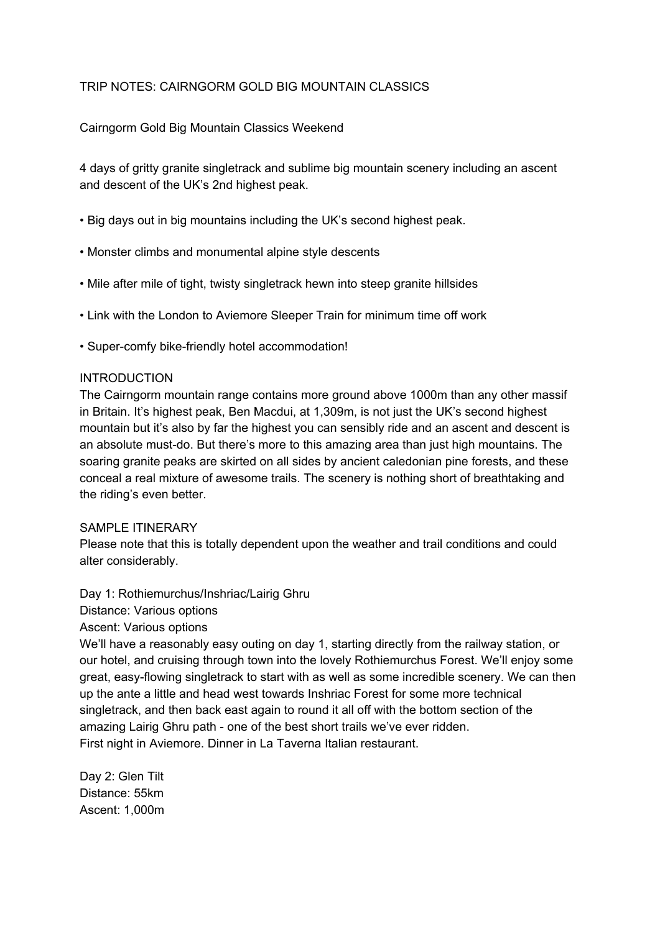# TRIP NOTES: CAIRNGORM GOLD BIG MOUNTAIN CLASSICS

# Cairngorm Gold Big Mountain Classics Weekend

4 days of gritty granite singletrack and sublime big mountain scenery including an ascent and descent of the UK's 2nd highest peak.

- Big days out in big mountains including the UK's second highest peak.
- Monster climbs and monumental alpine style descents
- Mile after mile of tight, twisty singletrack hewn into steep granite hillsides
- Link with the London to Aviemore Sleeper Train for minimum time off work
- Super-comfy bike-friendly hotel accommodation!

### INTRODUCTION

The Cairngorm mountain range contains more ground above 1000m than any other massif in Britain. It's highest peak, Ben Macdui, at 1,309m, is not just the UK's second highest mountain but it's also by far the highest you can sensibly ride and an ascent and descent is an absolute must-do. But there's more to this amazing area than just high mountains. The soaring granite peaks are skirted on all sides by ancient caledonian pine forests, and these conceal a real mixture of awesome trails. The scenery is nothing short of breathtaking and the riding's even better.

### SAMPLE ITINERARY

Please note that this is totally dependent upon the weather and trail conditions and could alter considerably.

Day 1: Rothiemurchus/Inshriac/Lairig Ghru Distance: Various options

Ascent: Various options

We'll have a reasonably easy outing on day 1, starting directly from the railway station, or our hotel, and cruising through town into the lovely Rothiemurchus Forest. We'll enjoy some great, easy-flowing singletrack to start with as well as some incredible scenery. We can then up the ante a little and head west towards Inshriac Forest for some more technical singletrack, and then back east again to round it all off with the bottom section of the amazing Lairig Ghru path - one of the best short trails we've ever ridden. First night in Aviemore. Dinner in La Taverna Italian restaurant.

Day 2: Glen Tilt Distance: 55km Ascent: 1,000m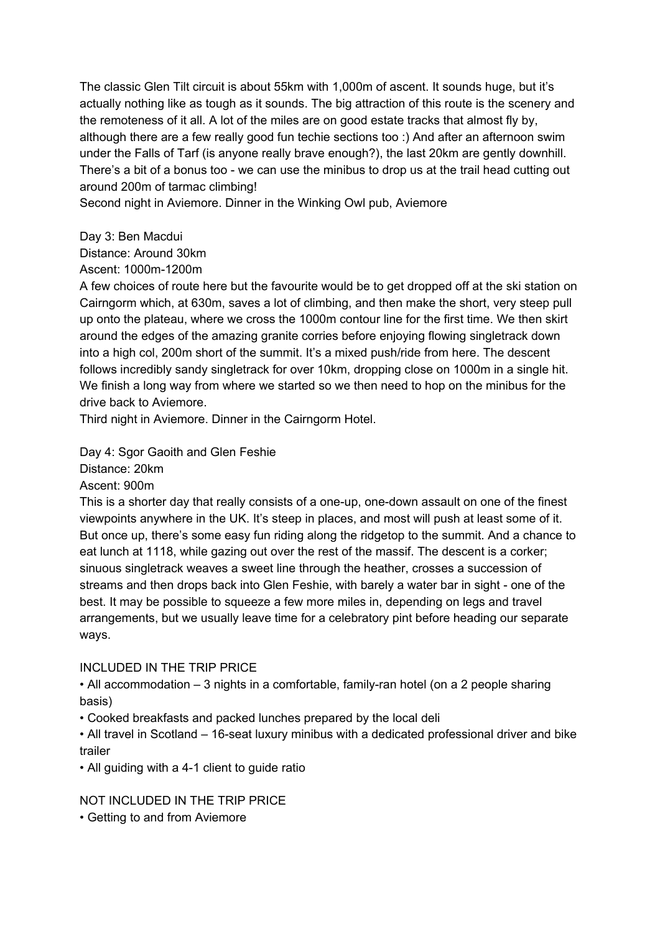The classic Glen Tilt circuit is about 55km with 1,000m of ascent. It sounds huge, but it's actually nothing like as tough as it sounds. The big attraction of this route is the scenery and the remoteness of it all. A lot of the miles are on good estate tracks that almost fly by, although there are a few really good fun techie sections too :) And after an afternoon swim under the Falls of Tarf (is anyone really brave enough?), the last 20km are gently downhill. There's a bit of a bonus too - we can use the minibus to drop us at the trail head cutting out around 200m of tarmac climbing!

Second night in Aviemore. Dinner in the Winking Owl pub, Aviemore

Day 3: Ben Macdui

Distance: Around 30km

Ascent: 1000m-1200m

A few choices of route here but the favourite would be to get dropped off at the ski station on Cairngorm which, at 630m, saves a lot of climbing, and then make the short, very steep pull up onto the plateau, where we cross the 1000m contour line for the first time. We then skirt around the edges of the amazing granite corries before enjoying flowing singletrack down into a high col, 200m short of the summit. It's a mixed push/ride from here. The descent follows incredibly sandy singletrack for over 10km, dropping close on 1000m in a single hit. We finish a long way from where we started so we then need to hop on the minibus for the drive back to Aviemore.

Third night in Aviemore. Dinner in the Cairngorm Hotel.

Day 4: Sgor Gaoith and Glen Feshie

Distance: 20km

Ascent: 900m

This is a shorter day that really consists of a one-up, one-down assault on one of the finest viewpoints anywhere in the UK. It's steep in places, and most will push at least some of it. But once up, there's some easy fun riding along the ridgetop to the summit. And a chance to eat lunch at 1118, while gazing out over the rest of the massif. The descent is a corker; sinuous singletrack weaves a sweet line through the heather, crosses a succession of streams and then drops back into Glen Feshie, with barely a water bar in sight - one of the best. It may be possible to squeeze a few more miles in, depending on legs and travel arrangements, but we usually leave time for a celebratory pint before heading our separate ways.

# INCLUDED IN THE TRIP PRICE

• All accommodation – 3 nights in a comfortable, family-ran hotel (on a 2 people sharing basis)

• Cooked breakfasts and packed lunches prepared by the local deli

• All travel in Scotland – 16-seat luxury minibus with a dedicated professional driver and bike trailer

• All guiding with a 4-1 client to guide ratio

# NOT INCLUDED IN THE TRIP PRICE

• Getting to and from Aviemore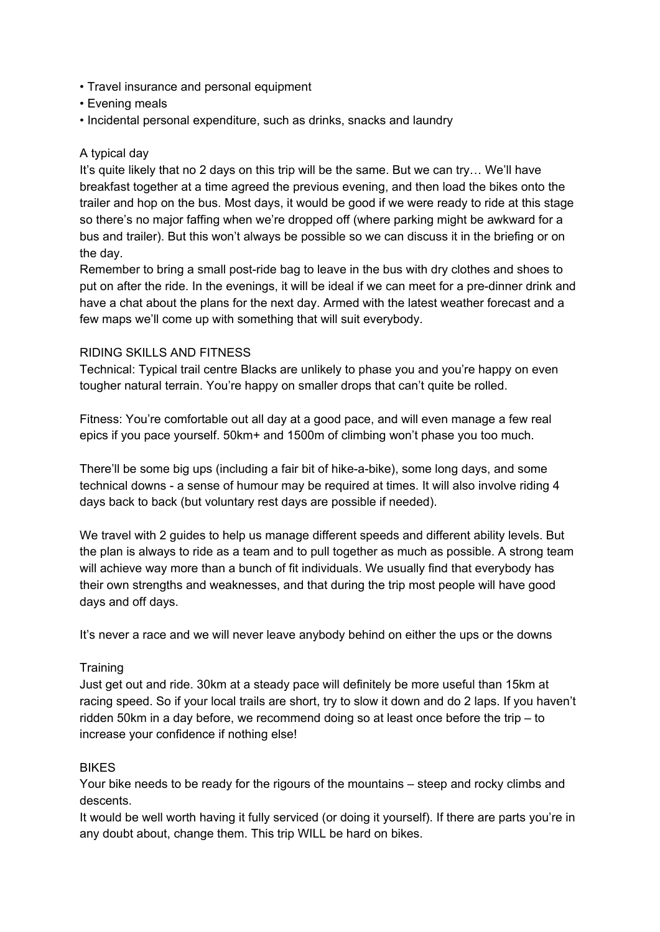- Travel insurance and personal equipment
- Evening meals
- Incidental personal expenditure, such as drinks, snacks and laundry

## A typical day

It's quite likely that no 2 days on this trip will be the same. But we can try… We'll have breakfast together at a time agreed the previous evening, and then load the bikes onto the trailer and hop on the bus. Most days, it would be good if we were ready to ride at this stage so there's no major faffing when we're dropped off (where parking might be awkward for a bus and trailer). But this won't always be possible so we can discuss it in the briefing or on the day.

Remember to bring a small post-ride bag to leave in the bus with dry clothes and shoes to put on after the ride. In the evenings, it will be ideal if we can meet for a pre-dinner drink and have a chat about the plans for the next day. Armed with the latest weather forecast and a few maps we'll come up with something that will suit everybody.

### RIDING SKILLS AND FITNESS

Technical: Typical trail centre Blacks are unlikely to phase you and you're happy on even tougher natural terrain. You're happy on smaller drops that can't quite be rolled.

Fitness: You're comfortable out all day at a good pace, and will even manage a few real epics if you pace yourself. 50km+ and 1500m of climbing won't phase you too much.

There'll be some big ups (including a fair bit of hike-a-bike), some long days, and some technical downs - a sense of humour may be required at times. It will also involve riding 4 days back to back (but voluntary rest days are possible if needed).

We travel with 2 guides to help us manage different speeds and different ability levels. But the plan is always to ride as a team and to pull together as much as possible. A strong team will achieve way more than a bunch of fit individuals. We usually find that everybody has their own strengths and weaknesses, and that during the trip most people will have good days and off days.

It's never a race and we will never leave anybody behind on either the ups or the downs

### **Training**

Just get out and ride. 30km at a steady pace will definitely be more useful than 15km at racing speed. So if your local trails are short, try to slow it down and do 2 laps. If you haven't ridden 50km in a day before, we recommend doing so at least once before the trip – to increase your confidence if nothing else!

### BIKES

Your bike needs to be ready for the rigours of the mountains – steep and rocky climbs and descents.

It would be well worth having it fully serviced (or doing it yourself). If there are parts you're in any doubt about, change them. This trip WILL be hard on bikes.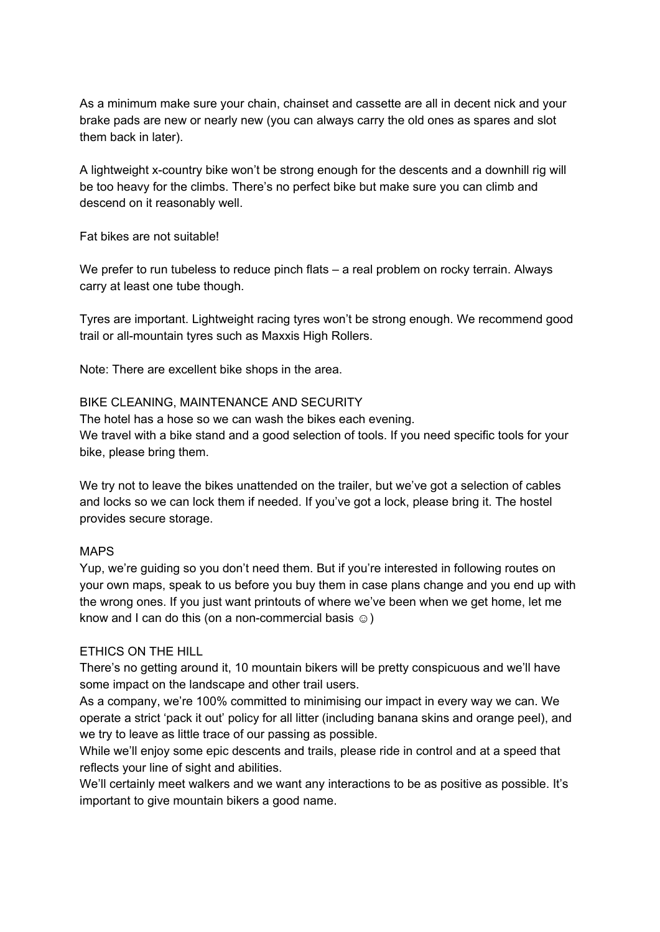As a minimum make sure your chain, chainset and cassette are all in decent nick and your brake pads are new or nearly new (you can always carry the old ones as spares and slot them back in later).

A lightweight x-country bike won't be strong enough for the descents and a downhill rig will be too heavy for the climbs. There's no perfect bike but make sure you can climb and descend on it reasonably well.

Fat bikes are not suitable!

We prefer to run tubeless to reduce pinch flats – a real problem on rocky terrain. Always carry at least one tube though.

Tyres are important. Lightweight racing tyres won't be strong enough. We recommend good trail or all-mountain tyres such as Maxxis High Rollers.

Note: There are excellent bike shops in the area.

### BIKE CLEANING, MAINTENANCE AND SECURITY

The hotel has a hose so we can wash the bikes each evening. We travel with a bike stand and a good selection of tools. If you need specific tools for your bike, please bring them.

We try not to leave the bikes unattended on the trailer, but we've got a selection of cables and locks so we can lock them if needed. If you've got a lock, please bring it. The hostel provides secure storage.

### MAPS

Yup, we're guiding so you don't need them. But if you're interested in following routes on your own maps, speak to us before you buy them in case plans change and you end up with the wrong ones. If you just want printouts of where we've been when we get home, let me know and I can do this (on a non-commercial basis  $\circledcirc$ )

### ETHICS ON THE HILL

There's no getting around it, 10 mountain bikers will be pretty conspicuous and we'll have some impact on the landscape and other trail users.

As a company, we're 100% committed to minimising our impact in every way we can. We operate a strict 'pack it out' policy for all litter (including banana skins and orange peel), and we try to leave as little trace of our passing as possible.

While we'll enjoy some epic descents and trails, please ride in control and at a speed that reflects your line of sight and abilities.

We'll certainly meet walkers and we want any interactions to be as positive as possible. It's important to give mountain bikers a good name.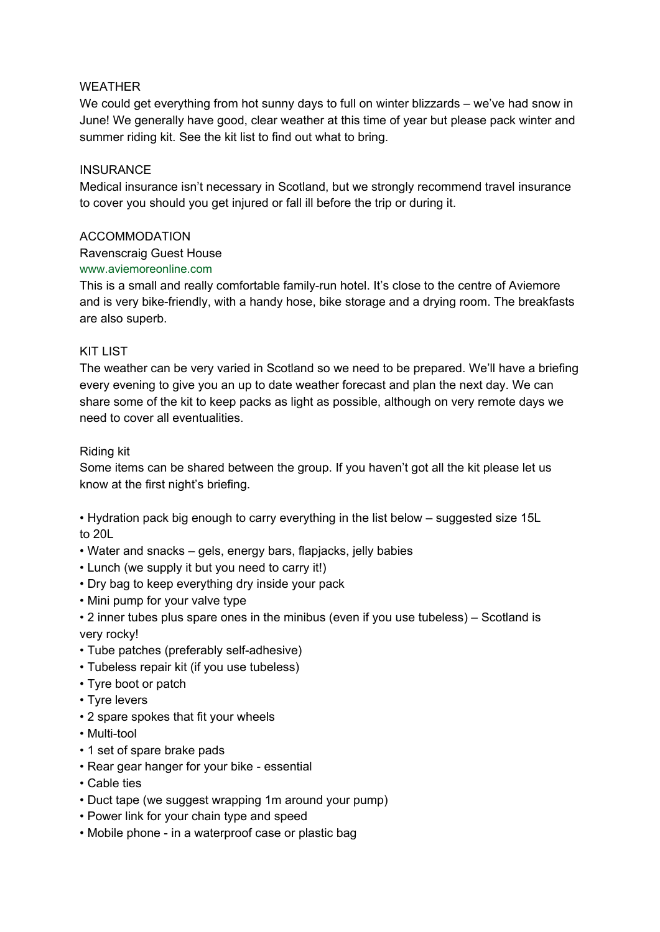## WEATHER

We could get everything from hot sunny days to full on winter blizzards – we've had snow in June! We generally have good, clear weather at this time of year but please pack winter and summer riding kit. See the kit list to find out what to bring.

### **INSURANCE**

Medical insurance isn't necessary in Scotland, but we strongly recommend travel insurance to cover you should you get injured or fall ill before the trip or during it.

### ACCOMMODATION

Ravenscraig Guest House

## www.aviemoreonline.com

This is a small and really comfortable family-run hotel. It's close to the centre of Aviemore and is very bike-friendly, with a handy hose, bike storage and a drying room. The breakfasts are also superb.

## KIT LIST

The weather can be very varied in Scotland so we need to be prepared. We'll have a briefing every evening to give you an up to date weather forecast and plan the next day. We can share some of the kit to keep packs as light as possible, although on very remote days we need to cover all eventualities.

## Riding kit

Some items can be shared between the group. If you haven't got all the kit please let us know at the first night's briefing.

• Hydration pack big enough to carry everything in the list below – suggested size 15L to 20L

- Water and snacks gels, energy bars, flapjacks, jelly babies
- Lunch (we supply it but you need to carry it!)
- Dry bag to keep everything dry inside your pack
- Mini pump for your valve type
- 2 inner tubes plus spare ones in the minibus (even if you use tubeless) Scotland is very rocky!
- Tube patches (preferably self-adhesive)
- Tubeless repair kit (if you use tubeless)
- Tyre boot or patch
- Tyre levers
- 2 spare spokes that fit your wheels
- Multi-tool
- 1 set of spare brake pads
- Rear gear hanger for your bike essential
- Cable ties
- Duct tape (we suggest wrapping 1m around your pump)
- Power link for your chain type and speed
- Mobile phone in a waterproof case or plastic bag